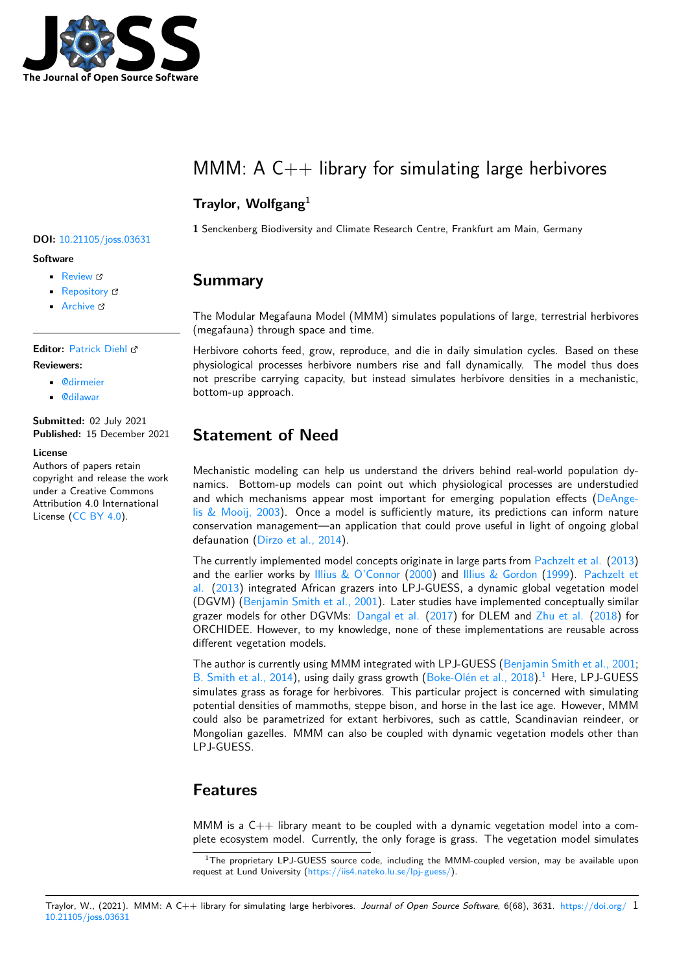

# MMM: A  $C_{++}$  library for simulating large herbivores

### **Traylor, Wolfgang**<sup>1</sup>

**1** Senckenberg Biodiversity and Climate Research Centre, Frankfurt am Main, Germany

### **Summary**

The Modular Megafauna Model (MMM) simulates populations of large, terrestrial herbivores (megafauna) through space and time.

Herbivore cohorts feed, grow, reproduce, and die in daily simulation cycles. Based on these physiological processes herbivore numbers rise and fall dynamically. The model thus does not prescribe carrying capacity, but instead simulates herbivore densities in a mechanistic, bottom-up approach.

## **Statement of Need**

Mechanistic modeling can help us understand the drivers behind real-world population dynamics. Bottom-up models can point out which physiological processes are understudied and which mechanisms appear most important for emerging population effects (DeAngelis & Mooij, 2003). Once a model is sufficiently mature, its predictions can inform nature conservation management—an application that could prove useful in light of ongoing global defaunation (Dirzo et al., 2014).

The currently implemented model concepts originate in large parts from Pachzelt et al. [\(2013\)](#page-2-0) [and the earlier wo](#page-2-0)rks by Illius & O'Connor (2000) and Illius & Gordon (1999). Pachzelt et al. (2013) integrated African grazers into LPJ-GUESS, a dynamic global vegetation model (DGVM) (Be[njamin Smith et a](#page-2-1)l., 2001). Later studies have implemented conceptually similar grazer models for other DGVMs: Dangal et al.  $(2017)$  for DLEM and  $Z$ hu et al.  $(2018)$  for ORCHIDEE. However, t[o my knowledge, n](#page-2-3)o[ne of](#page-2-3) these [implementation](#page-2-4)s [are r](#page-2-4)eu[sable across](#page-2-2) [diff](#page-2-2)e[rent v](#page-2-2)egetation models.

The autho[r is currently using MMM inte](#page-2-5)grated with LPJ-GUESS (Benja[min Smith e](#page-2-6)t al., 2001; B. Smith et al., 2014), using daily [grass growth](#page-1-0) ([Boke-](#page-1-0)Olén et al., 2018).<sup>1</sup> Here, L[PJ-GU](#page-2-6)ESS simulates grass as forage for herbivores. This particular project is concerned with simulating potential densities of mammoths, steppe bison, and horse in the last ice age. However, MMM could also be parametrized for extant herbivores, such as cattl[e, Scandinavian reindeer, or](#page-2-5) [Mongolian gazelles. M](#page-2-7)MM can also be coupled [with dynamic vegetati](#page-1-1)o[n](#page-0-0) models other than LPJ-GUESS.

## **Features**

MMM is a  $C_{++}$  library meant to be coupled with a dynamic vegetation model into a complete ecosystem model. Currently, the only forage is grass. The vegetation model simulates

#### Traylor, W., (2021). MMM: A C++ library for simulating large herbivores. *Journal of Open Source Software*, 6(68), 3631. https://doi.org/ 110.21105/joss.03631

### **DOI:** 10.21105/joss.03631

#### **Software**

- Review **で**
- [Repository](https://doi.org/10.21105/joss.03631) &
- Archive

### **Editor:** [Patrick D](https://github.com/wtraylor/modular_megafauna_model)iehl

#### **Revie[wers:](https://doi.org/10.5281/zenodo.5779267)**

- @dirmeier
- @[dilawar](http://www.diehlpk.de)

### **Submitted:** 02 July 2021 **Publi[shed:](https://github.com/dirmeier)** 15 December 2021

#### **Licen[se](https://github.com/dilawar)**

Authors of papers retain copyright and release the work under a Creative Commons Attribution 4.0 International License (CC BY 4.0).

<span id="page-0-0"></span><sup>&</sup>lt;sup>1</sup>The proprietary LPJ-GUESS source code, including the MMM-coupled version, may be available upon request at Lund University (https://iis4.nateko.lu.se/lpj-guess/).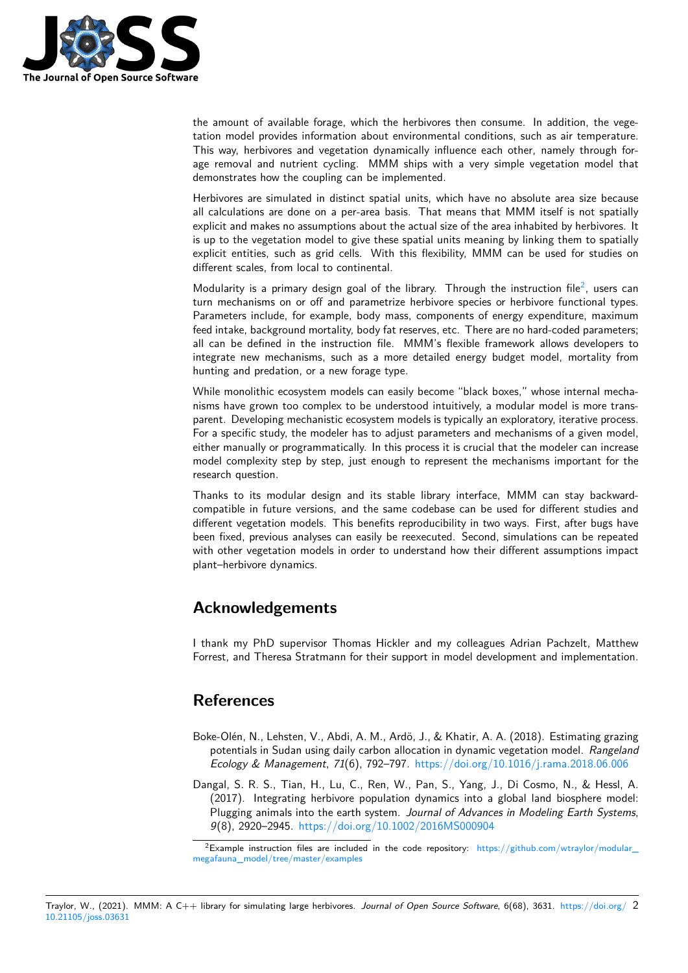

the amount of available forage, which the herbivores then consume. In addition, the vegetation model provides information about environmental conditions, such as air temperature. This way, herbivores and vegetation dynamically influence each other, namely through forage removal and nutrient cycling. MMM ships with a very simple vegetation model that demonstrates how the coupling can be implemented.

Herbivores are simulated in distinct spatial units, which have no absolute area size because all calculations are done on a per-area basis. That means that MMM itself is not spatially explicit and makes no assumptions about the actual size of the area inhabited by herbivores. It is up to the vegetation model to give these spatial units meaning by linking them to spatially explicit entities, such as grid cells. With this flexibility, MMM can be used for studies on different scales, from local to continental.

Modularity is a primary design goal of the library. Through the instruction file<sup>2</sup>, users can turn mechanisms on or off and parametrize herbivore species or herbivore functional types. Parameters include, for example, body mass, components of energy expenditure, maximum feed intake, background mortality, body fat reserves, etc. There are no hard-coded parameters; all can be defined in the instruction file. MMM's flexible framework allows d[e](#page-1-2)velopers to integrate new mechanisms, such as a more detailed energy budget model, mortality from hunting and predation, or a new forage type.

While monolithic ecosystem models can easily become "black boxes," whose internal mechanisms have grown too complex to be understood intuitively, a modular model is more transparent. Developing mechanistic ecosystem models is typically an exploratory, iterative process. For a specific study, the modeler has to adjust parameters and mechanisms of a given model, either manually or programmatically. In this process it is crucial that the modeler can increase model complexity step by step, just enough to represent the mechanisms important for the research question.

Thanks to its modular design and its stable library interface, MMM can stay backwardcompatible in future versions, and the same codebase can be used for different studies and different vegetation models. This benefits reproducibility in two ways. First, after bugs have been fixed, previous analyses can easily be reexecuted. Second, simulations can be repeated with other vegetation models in order to understand how their different assumptions impact plant–herbivore dynamics.

## **Acknowledgements**

I thank my PhD supervisor Thomas Hickler and my colleagues Adrian Pachzelt, Matthew Forrest, and Theresa Stratmann for their support in model development and implementation.

## **References**

- Boke-Olén, N., Lehsten, V., Abdi, A. M., Ardö, J., & Khatir, A. A. (2018). Estimating grazing potentials in Sudan using daily carbon allocation in dynamic vegetation model. *Rangeland Ecology & Management*, *71*(6), 792–797. https://doi.org/10.1016/j.rama.2018.06.006
- <span id="page-1-1"></span>Dangal, S. R. S., Tian, H., Lu, C., Ren, W., Pan, S., Yang, J., Di Cosmo, N., & Hessl, A. (2017). Integrating herbivore population dynamics into a global land biosphere model: Plugging animals into the earth system. *J[ournal of Advances in Modeling Earth System](https://doi.org/10.1016/j.rama.2018.06.006)s*, *9*(8), 2920–2945. https://doi.org/10.1002/2016MS000904

<span id="page-1-2"></span><span id="page-1-0"></span><sup>&</sup>lt;sup>2</sup>Example instruction files are included in the code repository: https://github.com/wtraylor/modular megafauna\_model/tree/master/examples